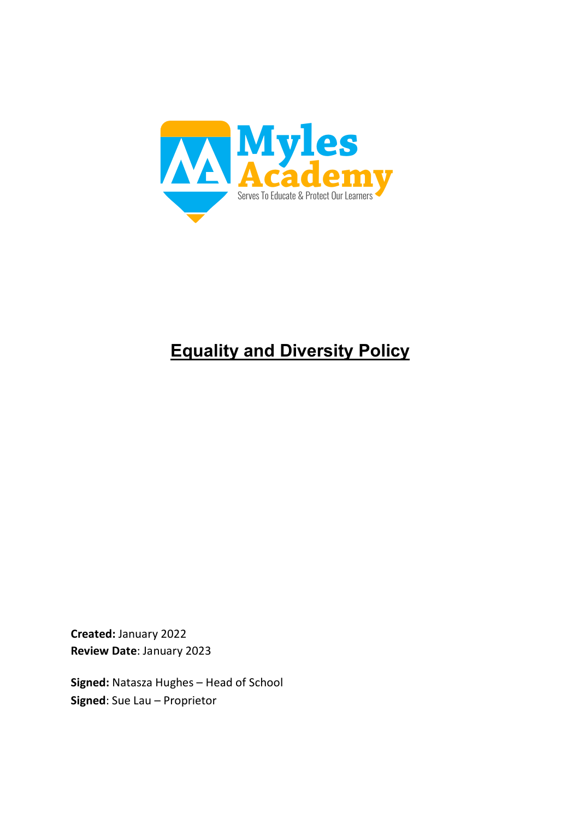

# **Equality and Diversity Policy**

**Created:** January 2022 **Review Date**: January 2023

**Signed:** Natasza Hughes – Head of School **Signed**: Sue Lau – Proprietor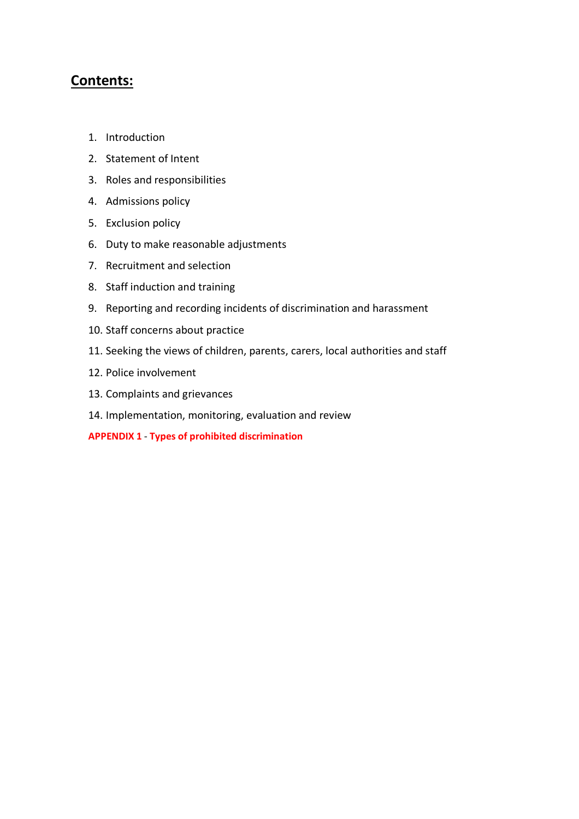## **Contents:**

- 1. Introduction
- 2. Statement of Intent
- 3. Roles and responsibilities
- 4. Admissions policy
- 5. Exclusion policy
- 6. Duty to make reasonable adjustments
- 7. Recruitment and selection
- 8. Staff induction and training
- 9. Reporting and recording incidents of discrimination and harassment
- 10. Staff concerns about practice
- 11. Seeking the views of children, parents, carers, local authorities and staff
- 12. Police involvement
- 13. Complaints and grievances
- 14. Implementation, monitoring, evaluation and review

**APPENDIX 1** - **Types of prohibited discrimination**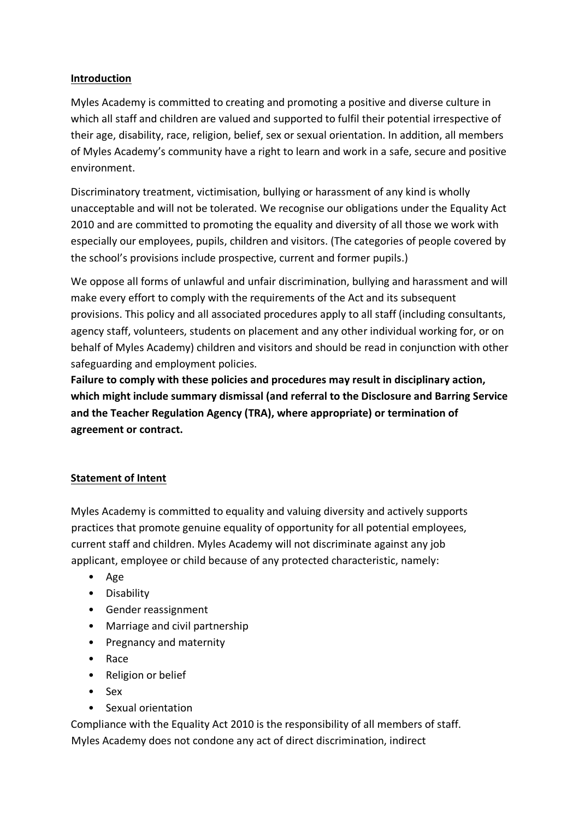## **Introduction**

Myles Academy is committed to creating and promoting a positive and diverse culture in which all staff and children are valued and supported to fulfil their potential irrespective of their age, disability, race, religion, belief, sex or sexual orientation. In addition, all members of Myles Academy's community have a right to learn and work in a safe, secure and positive environment.

Discriminatory treatment, victimisation, bullying or harassment of any kind is wholly unacceptable and will not be tolerated. We recognise our obligations under the Equality Act 2010 and are committed to promoting the equality and diversity of all those we work with especially our employees, pupils, children and visitors. (The categories of people covered by the school's provisions include prospective, current and former pupils.)

We oppose all forms of unlawful and unfair discrimination, bullying and harassment and will make every effort to comply with the requirements of the Act and its subsequent provisions. This policy and all associated procedures apply to all staff (including consultants, agency staff, volunteers, students on placement and any other individual working for, or on behalf of Myles Academy) children and visitors and should be read in conjunction with other safeguarding and employment policies.

**Failure to comply with these policies and procedures may result in disciplinary action, which might include summary dismissal (and referral to the Disclosure and Barring Service and the Teacher Regulation Agency (TRA), where appropriate) or termination of agreement or contract.**

## **Statement of Intent**

Myles Academy is committed to equality and valuing diversity and actively supports practices that promote genuine equality of opportunity for all potential employees, current staff and children. Myles Academy will not discriminate against any job applicant, employee or child because of any protected characteristic, namely:

- Age
- Disability
- Gender reassignment
- Marriage and civil partnership
- Pregnancy and maternity
- Race
- Religion or belief
- Sex
- Sexual orientation

Compliance with the Equality Act 2010 is the responsibility of all members of staff. Myles Academy does not condone any act of direct discrimination, indirect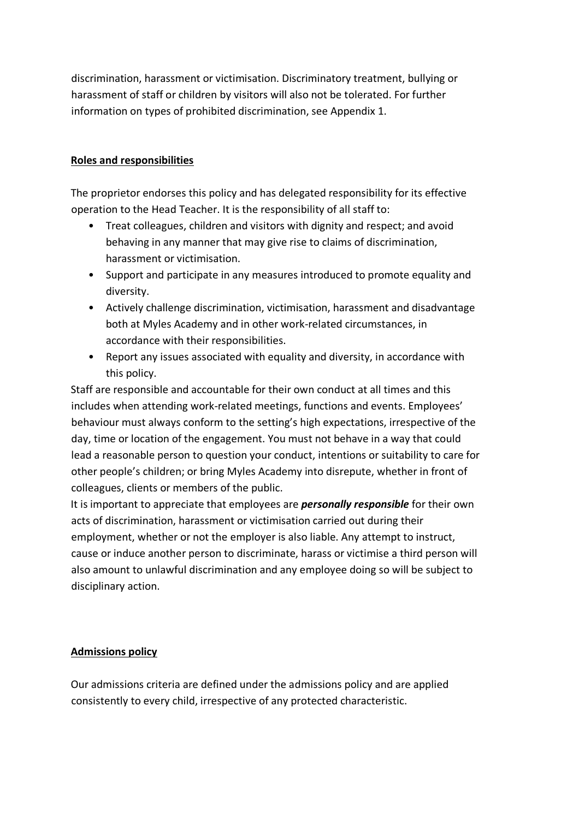discrimination, harassment or victimisation. Discriminatory treatment, bullying or harassment of staff or children by visitors will also not be tolerated. For further information on types of prohibited discrimination, see Appendix 1.

## **Roles and responsibilities**

The proprietor endorses this policy and has delegated responsibility for its effective operation to the Head Teacher. It is the responsibility of all staff to:

- Treat colleagues, children and visitors with dignity and respect; and avoid behaving in any manner that may give rise to claims of discrimination, harassment or victimisation.
- Support and participate in any measures introduced to promote equality and diversity.
- Actively challenge discrimination, victimisation, harassment and disadvantage both at Myles Academy and in other work-related circumstances, in accordance with their responsibilities.
- Report any issues associated with equality and diversity, in accordance with this policy.

Staff are responsible and accountable for their own conduct at all times and this includes when attending work-related meetings, functions and events. Employees' behaviour must always conform to the setting's high expectations, irrespective of the day, time or location of the engagement. You must not behave in a way that could lead a reasonable person to question your conduct, intentions or suitability to care for other people's children; or bring Myles Academy into disrepute, whether in front of colleagues, clients or members of the public.

It is important to appreciate that employees are *personally responsible* for their own acts of discrimination, harassment or victimisation carried out during their employment, whether or not the employer is also liable. Any attempt to instruct, cause or induce another person to discriminate, harass or victimise a third person will also amount to unlawful discrimination and any employee doing so will be subject to disciplinary action.

## **Admissions policy**

Our admissions criteria are defined under the admissions policy and are applied consistently to every child, irrespective of any protected characteristic.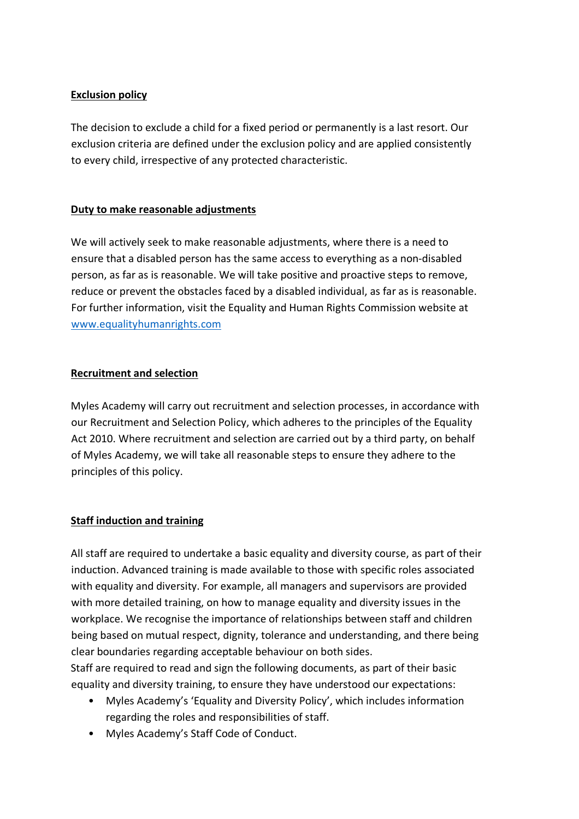## **Exclusion policy**

The decision to exclude a child for a fixed period or permanently is a last resort. Our exclusion criteria are defined under the exclusion policy and are applied consistently to every child, irrespective of any protected characteristic.

## **Duty to make reasonable adjustments**

We will actively seek to make reasonable adjustments, where there is a need to ensure that a disabled person has the same access to everything as a non-disabled person, as far as is reasonable. We will take positive and proactive steps to remove, reduce or prevent the obstacles faced by a disabled individual, as far as is reasonable. For further information, visit the Equality and Human Rights Commission website at www.equalityhumanrights.com

## **Recruitment and selection**

Myles Academy will carry out recruitment and selection processes, in accordance with our Recruitment and Selection Policy, which adheres to the principles of the Equality Act 2010. Where recruitment and selection are carried out by a third party, on behalf of Myles Academy, we will take all reasonable steps to ensure they adhere to the principles of this policy.

## **Staff induction and training**

All staff are required to undertake a basic equality and diversity course, as part of their induction. Advanced training is made available to those with specific roles associated with equality and diversity. For example, all managers and supervisors are provided with more detailed training, on how to manage equality and diversity issues in the workplace. We recognise the importance of relationships between staff and children being based on mutual respect, dignity, tolerance and understanding, and there being clear boundaries regarding acceptable behaviour on both sides.

Staff are required to read and sign the following documents, as part of their basic equality and diversity training, to ensure they have understood our expectations:

- Myles Academy's 'Equality and Diversity Policy', which includes information regarding the roles and responsibilities of staff.
- Myles Academy's Staff Code of Conduct.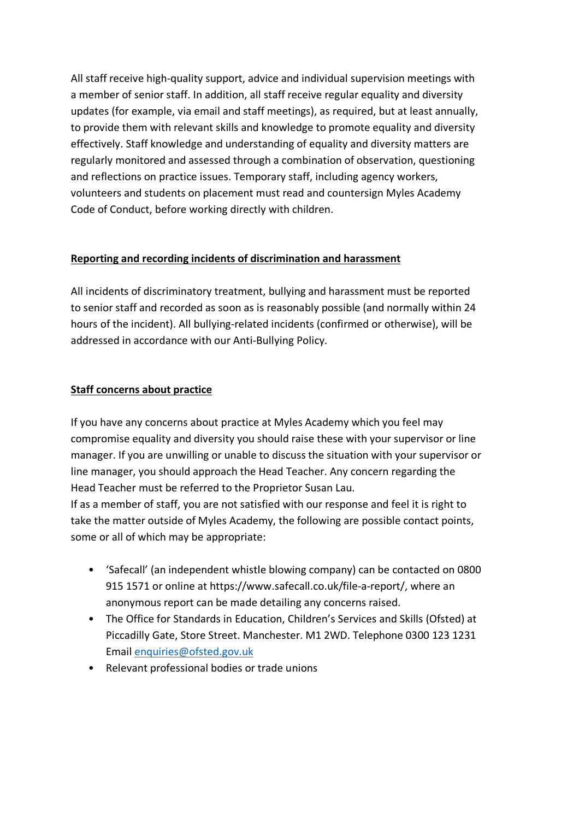All staff receive high-quality support, advice and individual supervision meetings with a member of senior staff. In addition, all staff receive regular equality and diversity updates (for example, via email and staff meetings), as required, but at least annually, to provide them with relevant skills and knowledge to promote equality and diversity effectively. Staff knowledge and understanding of equality and diversity matters are regularly monitored and assessed through a combination of observation, questioning and reflections on practice issues. Temporary staff, including agency workers, volunteers and students on placement must read and countersign Myles Academy Code of Conduct, before working directly with children.

## **Reporting and recording incidents of discrimination and harassment**

All incidents of discriminatory treatment, bullying and harassment must be reported to senior staff and recorded as soon as is reasonably possible (and normally within 24 hours of the incident). All bullying-related incidents (confirmed or otherwise), will be addressed in accordance with our Anti-Bullying Policy.

## **Staff concerns about practice**

If you have any concerns about practice at Myles Academy which you feel may compromise equality and diversity you should raise these with your supervisor or line manager. If you are unwilling or unable to discuss the situation with your supervisor or line manager, you should approach the Head Teacher. Any concern regarding the Head Teacher must be referred to the Proprietor Susan Lau.

If as a member of staff, you are not satisfied with our response and feel it is right to take the matter outside of Myles Academy, the following are possible contact points, some or all of which may be appropriate:

- 'Safecall' (an independent whistle blowing company) can be contacted on 0800 915 1571 or online at https://www.safecall.co.uk/file-a-report/, where an anonymous report can be made detailing any concerns raised.
- The Office for Standards in Education, Children's Services and Skills (Ofsted) at Piccadilly Gate, Store Street. Manchester. M1 2WD. Telephone 0300 123 1231 Email enquiries@ofsted.gov.uk
- Relevant professional bodies or trade unions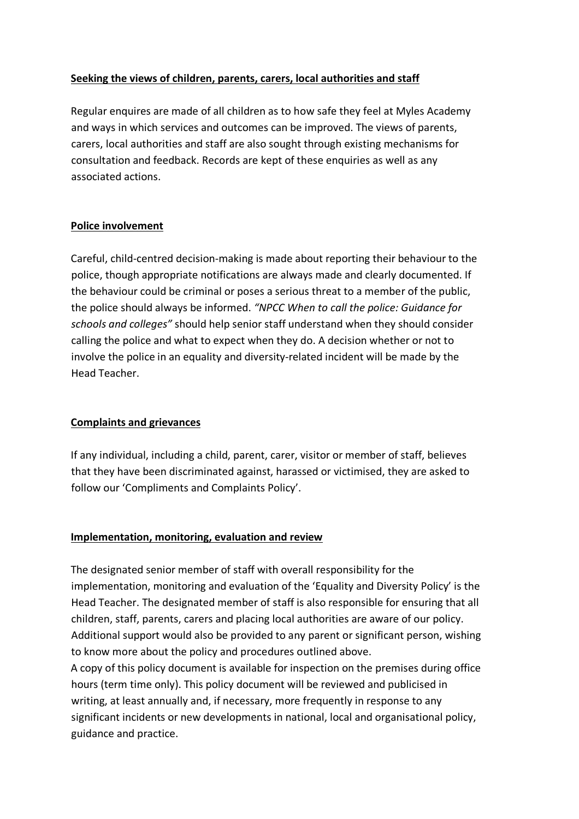## **Seeking the views of children, parents, carers, local authorities and staff**

Regular enquires are made of all children as to how safe they feel at Myles Academy and ways in which services and outcomes can be improved. The views of parents, carers, local authorities and staff are also sought through existing mechanisms for consultation and feedback. Records are kept of these enquiries as well as any associated actions.

#### **Police involvement**

Careful, child-centred decision-making is made about reporting their behaviour to the police, though appropriate notifications are always made and clearly documented. If the behaviour could be criminal or poses a serious threat to a member of the public, the police should always be informed. *"NPCC When to call the police: Guidance for schools and colleges"* should help senior staff understand when they should consider calling the police and what to expect when they do. A decision whether or not to involve the police in an equality and diversity-related incident will be made by the Head Teacher.

## **Complaints and grievances**

If any individual, including a child, parent, carer, visitor or member of staff, believes that they have been discriminated against, harassed or victimised, they are asked to follow our 'Compliments and Complaints Policy'.

## **Implementation, monitoring, evaluation and review**

The designated senior member of staff with overall responsibility for the implementation, monitoring and evaluation of the 'Equality and Diversity Policy' is the Head Teacher. The designated member of staff is also responsible for ensuring that all children, staff, parents, carers and placing local authorities are aware of our policy. Additional support would also be provided to any parent or significant person, wishing to know more about the policy and procedures outlined above.

A copy of this policy document is available for inspection on the premises during office hours (term time only). This policy document will be reviewed and publicised in writing, at least annually and, if necessary, more frequently in response to any significant incidents or new developments in national, local and organisational policy, guidance and practice.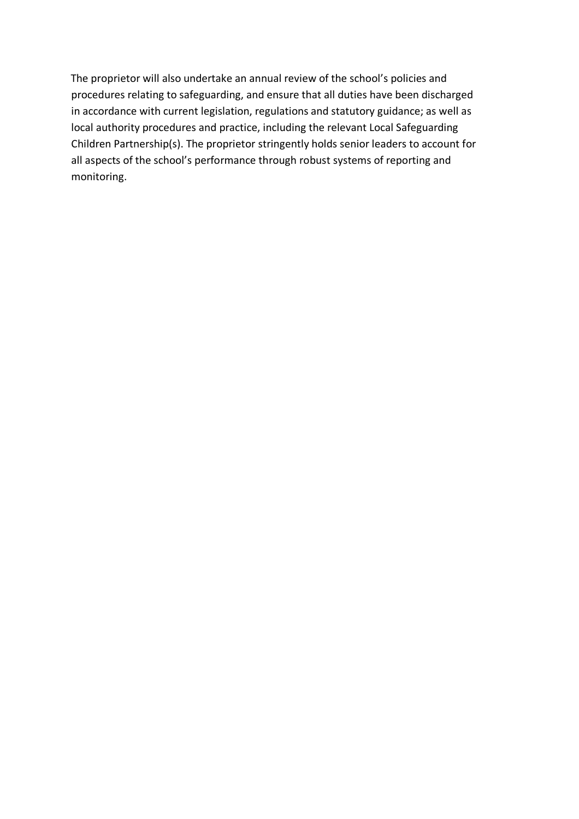The proprietor will also undertake an annual review of the school's policies and procedures relating to safeguarding, and ensure that all duties have been discharged in accordance with current legislation, regulations and statutory guidance; as well as local authority procedures and practice, including the relevant Local Safeguarding Children Partnership(s). The proprietor stringently holds senior leaders to account for all aspects of the school's performance through robust systems of reporting and monitoring.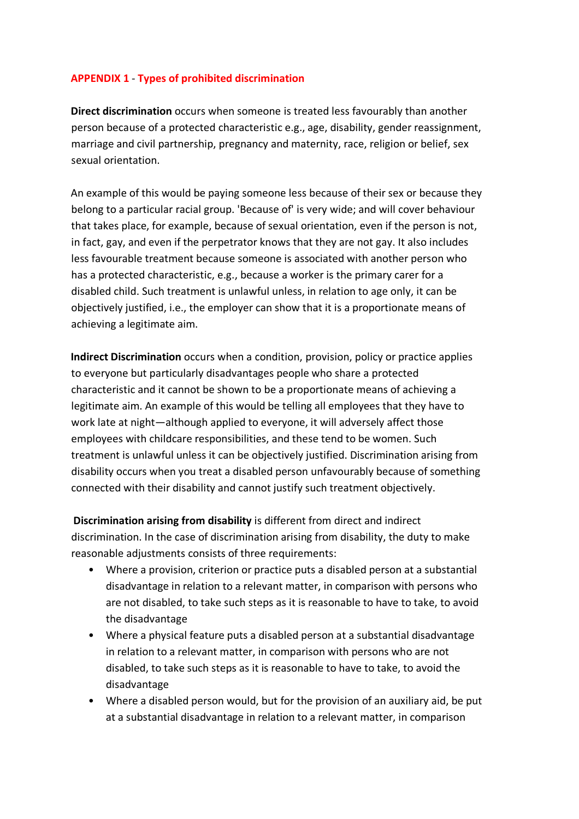#### **APPENDIX 1** - **Types of prohibited discrimination**

**Direct discrimination** occurs when someone is treated less favourably than another person because of a protected characteristic e.g., age, disability, gender reassignment, marriage and civil partnership, pregnancy and maternity, race, religion or belief, sex sexual orientation.

An example of this would be paying someone less because of their sex or because they belong to a particular racial group. 'Because of' is very wide; and will cover behaviour that takes place, for example, because of sexual orientation, even if the person is not, in fact, gay, and even if the perpetrator knows that they are not gay. It also includes less favourable treatment because someone is associated with another person who has a protected characteristic, e.g., because a worker is the primary carer for a disabled child. Such treatment is unlawful unless, in relation to age only, it can be objectively justified, i.e., the employer can show that it is a proportionate means of achieving a legitimate aim.

**Indirect Discrimination** occurs when a condition, provision, policy or practice applies to everyone but particularly disadvantages people who share a protected characteristic and it cannot be shown to be a proportionate means of achieving a legitimate aim. An example of this would be telling all employees that they have to work late at night—although applied to everyone, it will adversely affect those employees with childcare responsibilities, and these tend to be women. Such treatment is unlawful unless it can be objectively justified. Discrimination arising from disability occurs when you treat a disabled person unfavourably because of something connected with their disability and cannot justify such treatment objectively.

**Discrimination arising from disability** is different from direct and indirect discrimination. In the case of discrimination arising from disability, the duty to make reasonable adjustments consists of three requirements:

- Where a provision, criterion or practice puts a disabled person at a substantial disadvantage in relation to a relevant matter, in comparison with persons who are not disabled, to take such steps as it is reasonable to have to take, to avoid the disadvantage
- Where a physical feature puts a disabled person at a substantial disadvantage in relation to a relevant matter, in comparison with persons who are not disabled, to take such steps as it is reasonable to have to take, to avoid the disadvantage
- Where a disabled person would, but for the provision of an auxiliary aid, be put at a substantial disadvantage in relation to a relevant matter, in comparison